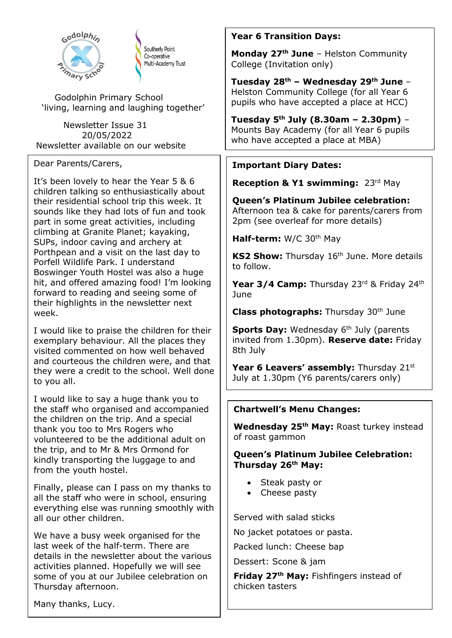

Southerly Point Co-operative Multi-Academy Trust

Godolphin Primary School 'living, learning and laughing together'

 Newsletter Issue 31 20/05/2022 Newsletter available on our website

#### Dear Parents/Carers,

It's been lovely to hear the Year 5 & 6 children talking so enthusiastically about their residential school trip this week. It sounds like they had lots of fun and took part in some great activities, including climbing at Granite Planet; kayaking, SUPs, indoor caving and archery at Porthpean and a visit on the last day to Porfell Wildlife Park. I understand Boswinger Youth Hostel was also a huge hit, and offered amazing food! I'm looking forward to reading and seeing some of their highlights in the newsletter next week.

I would like to praise the children for their exemplary behaviour. All the places they visited commented on how well behaved and courteous the children were, and that they were a credit to the school. Well done to you all.

I would like to say a huge thank you to the staff who organised and accompanied the children on the trip. And a special thank you too to Mrs Rogers who volunteered to be the additional adult on the trip, and to Mr & Mrs Ormond for kindly transporting the luggage to and from the youth hostel.

Finally, please can I pass on my thanks to all the staff who were in school, ensuring everything else was running smoothly with all our other children.

We have a busy week organised for the last week of the half-term. There are details in the newsletter about the various activities planned. Hopefully we will see some of you at our Jubilee celebration on Thursday afternoon.

### **Year 6 Transition Days:**

**Monday 27th June** – Helston Community College (Invitation only)

**Tuesday 28th – Wednesday 29th June** – Helston Community College (for all Year 6 pupils who have accepted a place at HCC)

**Tuesday 5th July (8.30am – 2.30pm)** – Mounts Bay Academy (for all Year 6 pupils who have accepted a place at MBA)

### **Important Diary Dates:**

**Reception & Y1 swimming:** 23rd May

**Queen's Platinum Jubilee celebration:**  Afternoon tea & cake for parents/carers from 2pm (see overleaf for more details)

**Half-term:** W/C 30<sup>th</sup> May

KS2 Show: Thursday 16<sup>th</sup> June. More details to follow.

Year 3/4 Camp: Thursday 23rd & Friday 24th June

**Class photographs:** Thursday 30<sup>th</sup> June

**Sports Day:** Wednesday 6<sup>th</sup> July (parents invited from 1.30pm). **Reserve date:** Friday 8th July

Year 6 Leavers' assembly: Thursday 21st July at 1.30pm (Y6 parents/carers only)

### **Chartwell's Menu Changes:**

**Wednesday 25th May:** Roast turkey instead of roast gammon

**Queen's Platinum Jubilee Celebration: Thursday 26th May:**

- Steak pasty or
- Cheese pasty

Served with salad sticks

No jacket potatoes or pasta.

Packed lunch: Cheese bap

Dessert: Scone & jam

**Friday 27th May:** Fishfingers instead of chicken tasters

Many thanks, Lucy.